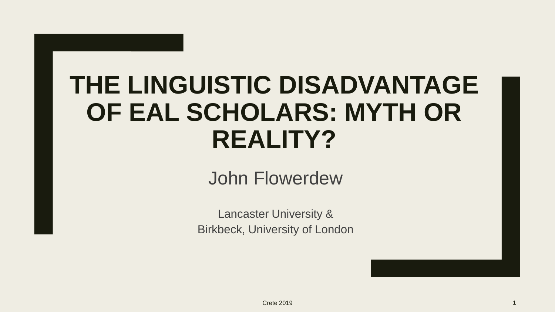### **THE LINGUISTIC DISADVANTAGE OF EAL SCHOLARS: MYTH OR REALITY?**

John Flowerdew

Lancaster University & Birkbeck, University of London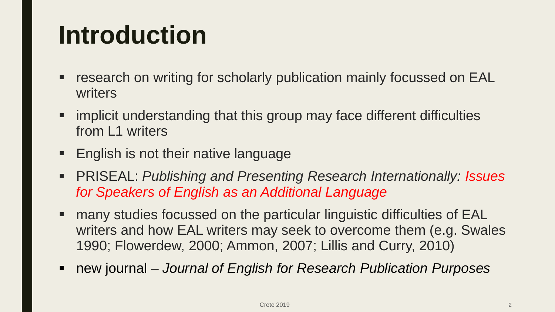### **Introduction**

- research on writing for scholarly publication mainly focussed on EAL writers
- implicit understanding that this group may face different difficulties from L1 writers
- $\blacksquare$  English is not their native language
- PRISEAL: *Publishing and Presenting Research Internationally: Issues for Speakers of English as an Additional Language*
- many studies focussed on the particular linguistic difficulties of EAL writers and how EAL writers may seek to overcome them (e.g. Swales 1990; Flowerdew, 2000; Ammon, 2007; Lillis and Curry, 2010)
- new journal *Journal of English for Research Publication Purposes*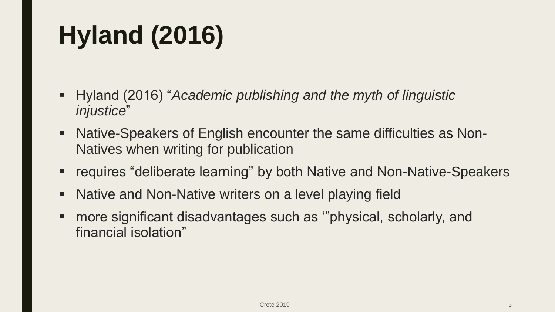# **Hyland (2016)**

- Hyland (2016) "*Academic publishing and the myth of linguistic injustice*"
- Native-Speakers of English encounter the same difficulties as Non-Natives when writing for publication
- requires "deliberate learning" by both Native and Non-Native-Speakers
- Native and Non-Native writers on a level playing field
- more significant disadvantages such as '"physical, scholarly, and financial isolation"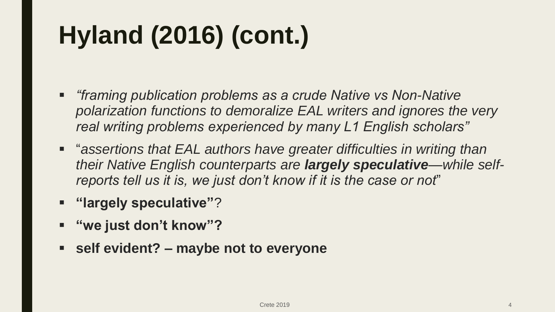# **Hyland (2016) (cont.)**

- *"framing publication problems as a crude Native vs Non-Native polarization functions to demoralize EAL writers and ignores the very real writing problems experienced by many L1 English scholars"*
- **EXT** "assertions that EAL authors have greater difficulties in writing than *their Native English counterparts are largely speculative—while selfreports tell us it is, we just don't know if it is the case or not*"
- **"largely speculative"**?
- **"we just don't know"?**
- **self evident? – maybe not to everyone**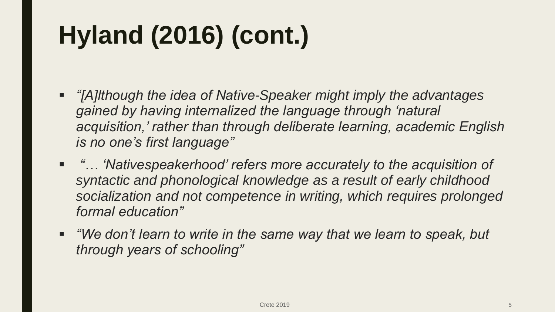# **Hyland (2016) (cont.)**

- *"[A]lthough the idea of Native-Speaker might imply the advantages gained by having internalized the language through 'natural acquisition,' rather than through deliberate learning, academic English is no one's first language"*
- "... 'Nativespeakerhood' refers more accurately to the acquisition of *syntactic and phonological knowledge as a result of early childhood socialization and not competence in writing, which requires prolonged formal education"*
- *"We don't learn to write in the same way that we learn to speak, but through years of schooling"*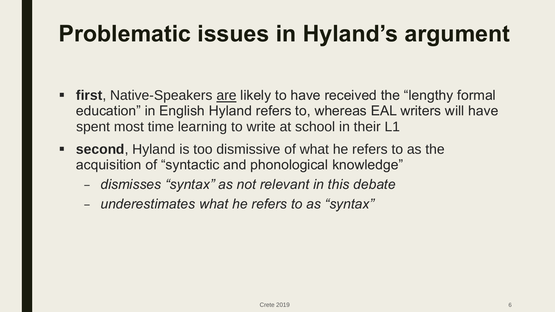#### **Problematic issues in Hyland's argument**

- **first**, Native-Speakers are likely to have received the "lengthy formal education" in English Hyland refers to, whereas EAL writers will have spent most time learning to write at school in their L1
- **second**, Hyland is too dismissive of what he refers to as the acquisition of "syntactic and phonological knowledge"
	- *dismisses "syntax" as not relevant in this debate*
	- *underestimates what he refers to as "syntax"*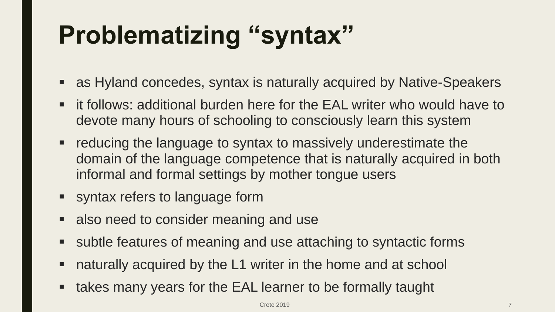# **Problematizing "syntax"**

- as Hyland concedes, syntax is naturally acquired by Native-Speakers
- it follows: additional burden here for the EAL writer who would have to devote many hours of schooling to consciously learn this system
- **•** reducing the language to syntax to massively underestimate the domain of the language competence that is naturally acquired in both informal and formal settings by mother tongue users
- syntax refers to language form
- also need to consider meaning and use
- subtle features of meaning and use attaching to syntactic forms
- naturally acquired by the L1 writer in the home and at school
- takes many years for the EAL learner to be formally taught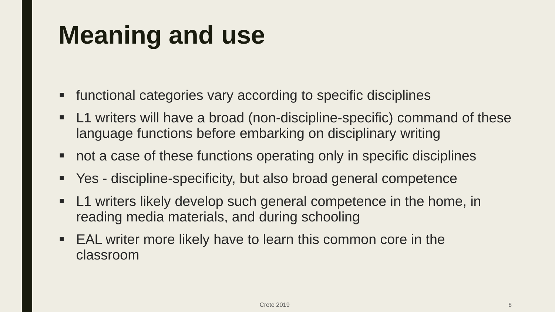# **Meaning and use**

- functional categories vary according to specific disciplines
- L1 writers will have a broad (non-discipline-specific) command of these language functions before embarking on disciplinary writing
- not a case of these functions operating only in specific disciplines
- Yes discipline-specificity, but also broad general competence
- **Let Universally L1 writers likely develop such general competence in the home, in** reading media materials, and during schooling
- EAL writer more likely have to learn this common core in the classroom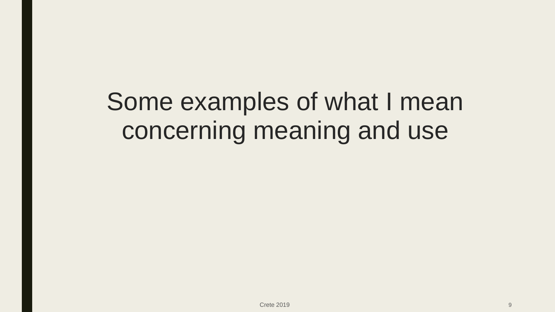Some examples of what I mean concerning meaning and use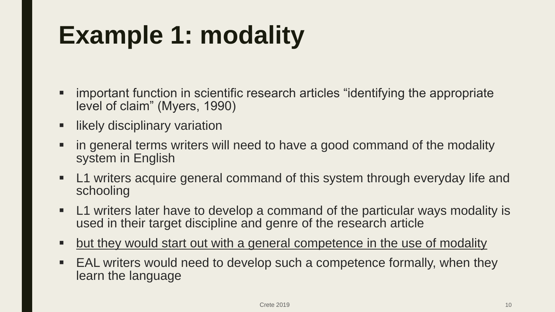# **Example 1: modality**

- important function in scientific research articles "identifying the appropriate level of claim" (Myers, 1990)
- likely disciplinary variation
- in general terms writers will need to have a good command of the modality system in English
- **L1** writers acquire general command of this system through everyday life and schooling
- L1 writers later have to develop a command of the particular ways modality is used in their target discipline and genre of the research article
- but they would start out with a general competence in the use of modality
- EAL writers would need to develop such a competence formally, when they learn the language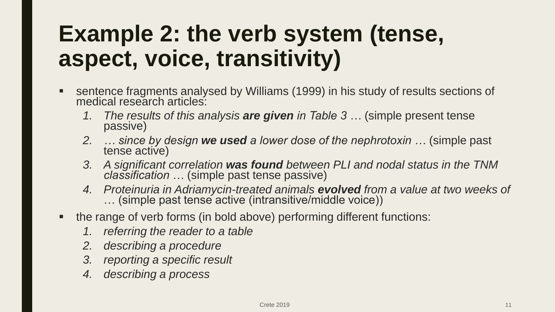#### **Example 2: the verb system (tense, aspect, voice, transitivity)**

- sentence fragments analysed by Williams (1999) in his study of results sections of medical research articles:
	- *1. The results of this analysis are given in Table 3 …* (simple present tense passive)
	- *2. … since by design we used a lower dose of the nephrotoxin …* (simple past tense active)
	- *3. A significant correlation was found between PLI and nodal status in the TNM classification …* (simple past tense passive)
	- *4. Proteinuria in Adriamycin-treated animals evolved from a value at two weeks of*  … (simple past tense active (intransitive/middle voice))
- the range of verb forms (in bold above) performing different functions:
	- *1. referring the reader to a table*
	- *2. describing a procedure*
	- *3. reporting a specific result*
	- *4. describing a process*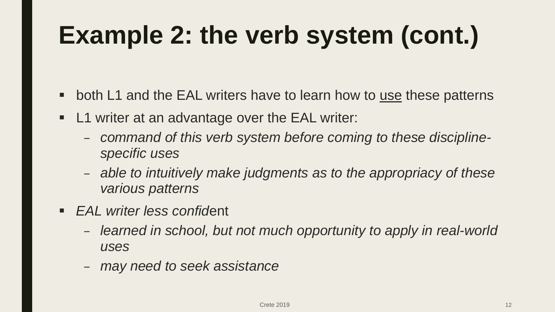# **Example 2: the verb system (cont.)**

- both L1 and the EAL writers have to learn how to use these patterns
- **L1** writer at an advantage over the EAL writer:
	- *command of this verb system before coming to these disciplinespecific uses*
	- *able to intuitively make judgments as to the appropriacy of these various patterns*
- *EAL writer less confid*ent
	- *learned in school, but not much opportunity to apply in real-world uses*
	- *may need to seek assistance*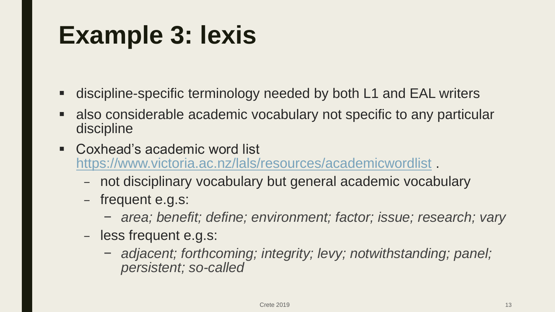### **Example 3: lexis**

- discipline-specific terminology needed by both L1 and EAL writers
- also considerable academic vocabulary not specific to any particular discipline
- Coxhead's academic word list <https://www.victoria.ac.nz/lals/resources/academicwordlist> .
	- not disciplinary vocabulary but general academic vocabulary
	- frequent e.g.s:
		- − *area; benefit; define; environment; factor; issue; research; vary*
	- less frequent e.g.s:
		- − *adjacent; forthcoming; integrity; levy; notwithstanding; panel; persistent; so-called*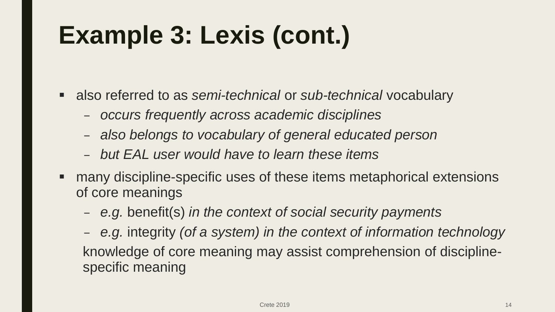# **Example 3: Lexis (cont.)**

- also referred to as *semi-technical* or *sub-technical* vocabulary
	- *occurs frequently across academic disciplines*
	- *also belongs to vocabulary of general educated person*
	- *but EAL user would have to learn these items*
- many discipline-specific uses of these items metaphorical extensions of core meanings
	- *e.g.* benefit(s) *in the context of social security payments*
	- *e.g.* integrity *(of a system) in the context of information technology* knowledge of core meaning may assist comprehension of disciplinespecific meaning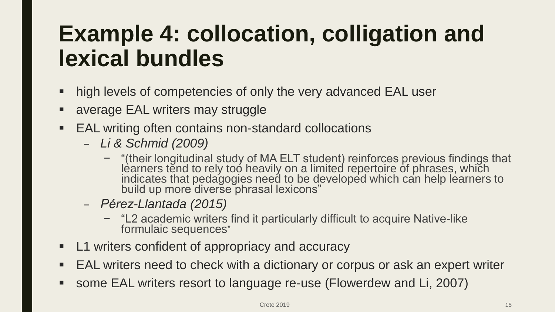#### **Example 4: collocation, colligation and lexical bundles**

- high levels of competencies of only the very advanced EAL user
- average EAL writers may struggle
- EAL writing often contains non-standard collocations
	- *Li & Schmid (2009)*
		- − "(their longitudinal study of MA ELT student) reinforces previous findings that learners tend to rely too heavily on a limited repertoire of phrases, which indicates that pedagogies need to be developed which can help learners to build up more diverse phrasal lexicons"
	- *Pérez-Llantada (2015)*
		- − "L2 academic writers find it particularly difficult to acquire Native-like formulaic sequences"
- **L1** writers confident of appropriacy and accuracy
- EAL writers need to check with a dictionary or corpus or ask an expert writer
- some EAL writers resort to language re-use (Flowerdew and Li, 2007)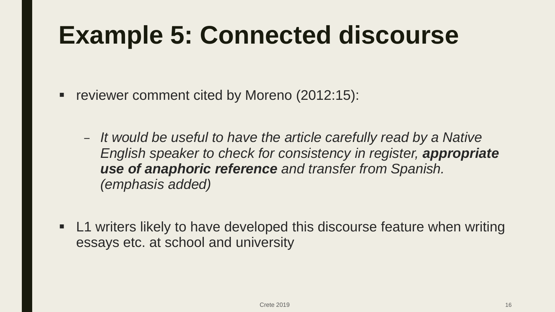### **Example 5: Connected discourse**

- reviewer comment cited by Moreno (2012:15):
	- *It would be useful to have the article carefully read by a Native English speaker to check for consistency in register, appropriate use of anaphoric reference and transfer from Spanish. (emphasis added)*
- L1 writers likely to have developed this discourse feature when writing essays etc. at school and university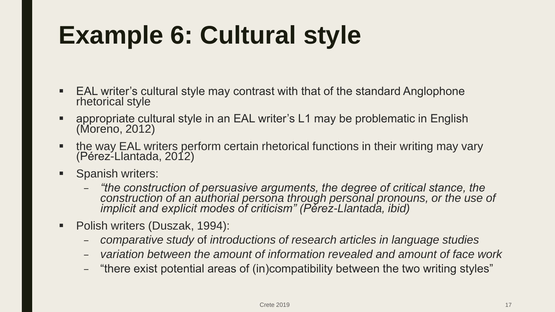# **Example 6: Cultural style**

- EAL writer's cultural style may contrast with that of the standard Anglophone rhetorical style
- appropriate cultural style in an EAL writer's L1 may be problematic in English (Moreno, 2012)
- **the way EAL writers perform certain rhetorical functions in their writing may vary** (Pérez-Llantada, 2012)
- Spanish writers:
	- *"the construction of persuasive arguments, the degree of critical stance, the construction of an authorial persona through personal pronouns, or the use of implicit and explicit modes of criticism" (Pérez-Llantada, ibid)*
- **Polish writers (Duszak, 1994):** 
	- *comparative study* of *introductions of research articles in language studies*
	- *variation between the amount of information revealed and amount of face work*
	- "there exist potential areas of (in)compatibility between the two writing styles"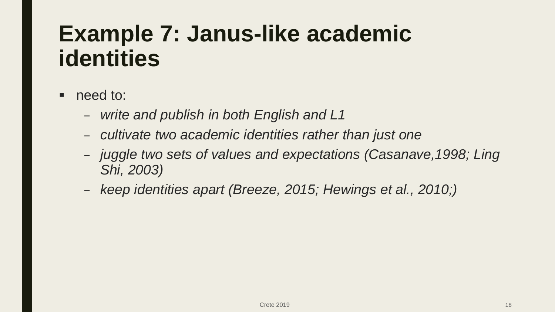#### **Example 7: Janus-like academic identities**

- need to:
	- *write and publish in both English and L1*
	- *cultivate two academic identities rather than just one*
	- *juggle two sets of values and expectations (Casanave,1998; Ling Shi, 2003)*
	- *keep identities apart (Breeze, 2015; Hewings et al., 2010;)*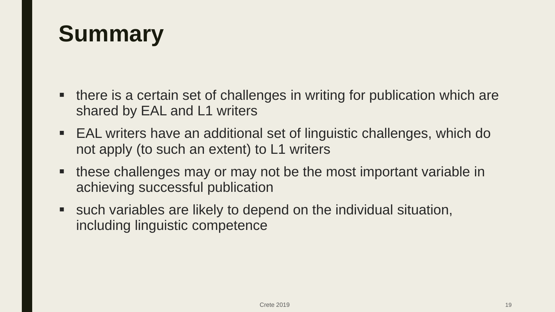#### **Summary**

- there is a certain set of challenges in writing for publication which are shared by EAL and L1 writers
- EAL writers have an additional set of linguistic challenges, which do not apply (to such an extent) to L1 writers
- **these challenges may or may not be the most important variable in** achieving successful publication
- such variables are likely to depend on the individual situation, including linguistic competence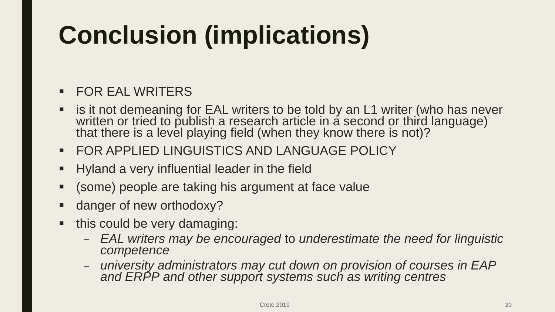# **Conclusion (implications)**

#### **FOR EAL WRITERS**

- is it not demeaning for EAL writers to be told by an L1 writer (who has never written or tried to publish a research article in a second or third language) that there is a level playing field (when they know there is not)?
- FOR APPLIED LINGUISTICS AND LANGUAGE POLICY
- **Hyland a very influential leader in the field**
- (some) people are taking his argument at face value
- danger of new orthodoxy?
- this could be very damaging:
	- *EAL writers may be encouraged* to *underestimate the need for linguistic competence*
	- *university administrators may cut down on provision of courses in EAP and ERPP and other support systems such as writing centres*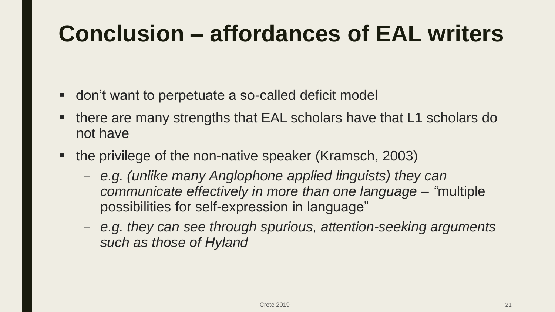#### **Conclusion – affordances of EAL writers**

- don't want to perpetuate a so-called deficit model
- there are many strengths that EAL scholars have that L1 scholars do not have
- the privilege of the non-native speaker (Kramsch, 2003)
	- *e.g. (unlike many Anglophone applied linguists) they can communicate effectively in more than one language – "*multiple possibilities for self-expression in language"
	- *e.g. they can see through spurious, attention-seeking arguments such as those of Hyland*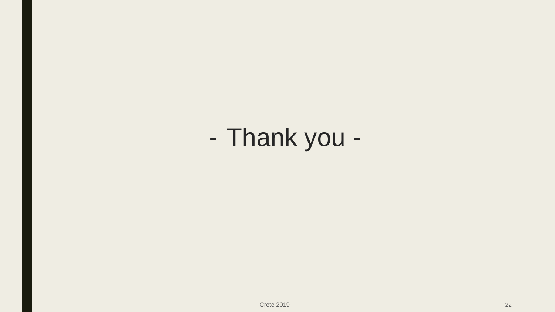- Thank you -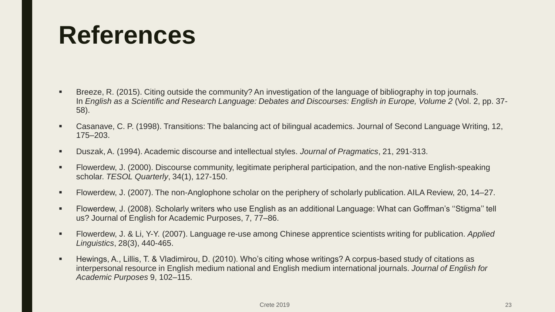#### **References**

- Breeze, R. (2015). Citing outside the community? An investigation of the language of bibliography in top journals. In *English as a Scientific and Research Language: Debates and Discourses: English in Europe, Volume 2* (Vol. 2, pp. 37- 58).
- Casanave, C. P. (1998). Transitions: The balancing act of bilingual academics. Journal of Second Language Writing, 12, 175–203.
- Duszak, A. (1994). Academic discourse and intellectual styles. *Journal of Pragmatics*, 21, 291-313.
- Flowerdew, J. (2000). Discourse community, legitimate peripheral participation, and the non-native English-speaking scholar. *TESOL Quarterly*, 34(1), 127-150.
- Flowerdew, J. (2007). The non-Anglophone scholar on the periphery of scholarly publication. AILA Review, 20, 14–27.
- Flowerdew, J. (2008). Scholarly writers who use English as an additional Language: What can Goffman's ''Stigma'' tell us? Journal of English for Academic Purposes, 7, 77–86.
- Flowerdew, J. & Li, Y-Y. (2007). Language re-use among Chinese apprentice scientists writing for publication. *Applied Linguistics*, 28(3), 440-465.
- Hewings, A., Lillis, T. & Vladimirou, D. (2010). Who's citing whose writings? A corpus-based study of citations as interpersonal resource in English medium national and English medium international journals. *Journal of English for Academic Purposes* 9, 102–115.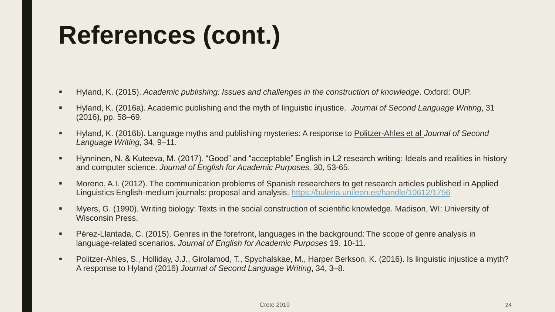# **References (cont.)**

- Hyland, K. (2015). *Academic publishing: Issues and challenges in the construction of knowledge*. Oxford: OUP.
- Hyland, K. (2016a). Academic publishing and the myth of linguistic injustice. *Journal of Second Language Writing*, 31 (2016), pp. 58–69.
- Hyland, K. (2016b). Language myths and publishing mysteries: A response to Politzer-Ahles et al *Journal of Second Language Writing*, 34, 9–11.
- Hynninen, N. & Kuteeva, M. (2017). "Good" and "acceptable" English in L2 research writing: Ideals and realities in history and computer science. *Journal of English for Academic Purposes,* 30, 53-65.
- Moreno, A.I. (2012). The communication problems of Spanish researchers to get research articles published in Applied Linguistics English-medium journals: proposal and analysis. <https://buleria.unileon.es/handle/10612/1756>
- Myers, G. (1990). Writing biology: Texts in the social construction of scientific knowledge. Madison, WI: University of Wisconsin Press.
- Pérez-Llantada, C. (2015). Genres in the forefront, languages in the background: The scope of genre analysis in language-related scenarios. *Journal of English for Academic Purposes* 19, 10-11.
- Politzer-Ahles, S., Holliday, J.J., Girolamod, T., Spychalskae, M., Harper Berkson, K. (2016). Is linguistic injustice a myth? A response to Hyland (2016) *Journal of Second Language Writing*, 34, 3–8.